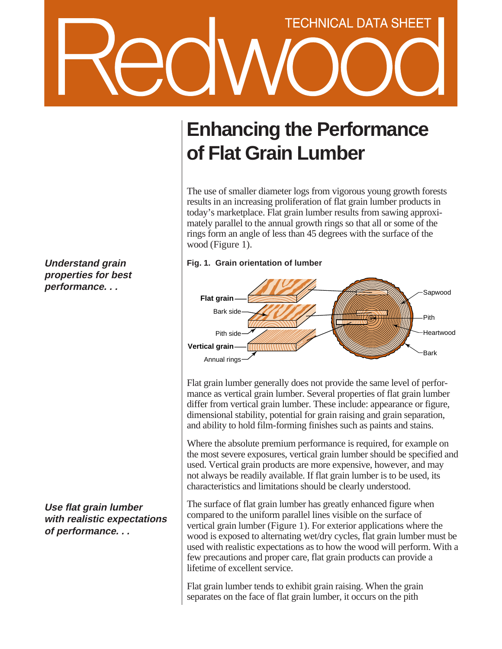## **TECHNICAL DATA SHEET**

**Understand grain properties for best performance. . .**

**Use flat grain lumber with realistic expectations of performance. . .**

## **Enhancing the Performance of Flat Grain Lumber**

The use of smaller diameter logs from vigorous young growth forests results in an increasing proliferation of flat grain lumber products in today's marketplace. Flat grain lumber results from sawing approximately parallel to the annual growth rings so that all or some of the rings form an angle of less than 45 degrees with the surface of the wood (Figure 1).

**Fig. 1. Grain orientation of lumber**



Flat grain lumber generally does not provide the same level of performance as vertical grain lumber. Several properties of flat grain lumber differ from vertical grain lumber. These include: appearance or figure, dimensional stability, potential for grain raising and grain separation, and ability to hold film-forming finishes such as paints and stains.

Where the absolute premium performance is required, for example on the most severe exposures, vertical grain lumber should be specified and used. Vertical grain products are more expensive, however, and may not always be readily available. If flat grain lumber is to be used, its characteristics and limitations should be clearly understood.

The surface of flat grain lumber has greatly enhanced figure when compared to the uniform parallel lines visible on the surface of vertical grain lumber (Figure 1). For exterior applications where the wood is exposed to alternating wet/dry cycles, flat grain lumber must be used with realistic expectations as to how the wood will perform. With a few precautions and proper care, flat grain products can provide a lifetime of excellent service.

Flat grain lumber tends to exhibit grain raising. When the grain separates on the face of flat grain lumber, it occurs on the pith